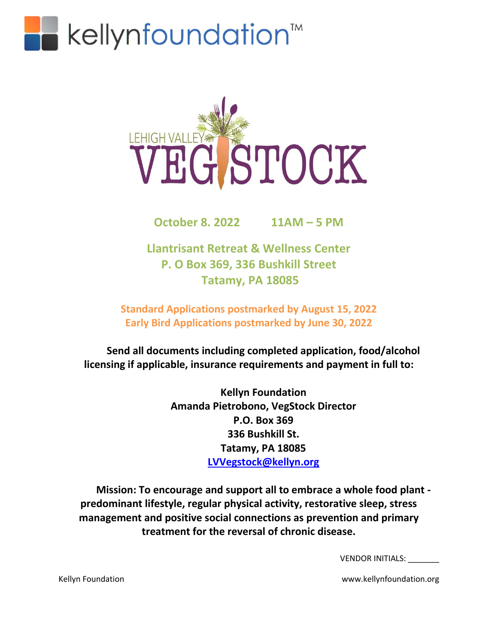



**October 8. 2022 11AM – 5 PM**

**Llantrisant Retreat & Wellness Center P. O Box 369, 336 Bushkill Street Tatamy, PA 18085**

**Standard Applications postmarked by August 15, 2022 Early Bird Applications postmarked by June 30, 2022**

**Send all documents including completed application, food/alcohol licensing if applicable, insurance requirements and payment in full to:**

> **Kellyn Foundation Amanda Pietrobono, VegStock Director P.O. Box 369 336 Bushkill St. Tatamy, PA 18085 [LVVegstock@kellyn.org](mailto:LVVegstock@kellyn.org)**

**Mission: To encourage and support all to embrace a whole food plant predominant lifestyle, regular physical activity, restorative sleep, stress management and positive social connections as prevention and primary treatment for the reversal of chronic disease.**

VENDOR INITIALS: \_\_\_\_\_\_\_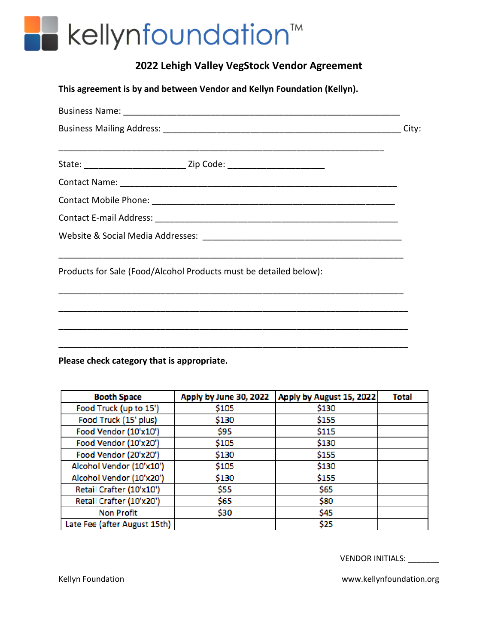### kellynfoundation<sup>™</sup>

### **2022 Lehigh Valley VegStock Vendor Agreement**

**This agreement is by and between Vendor and Kellyn Foundation (Kellyn).**

|  | Products for Sale (Food/Alcohol Products must be detailed below): |  |
|--|-------------------------------------------------------------------|--|
|  |                                                                   |  |
|  |                                                                   |  |
|  |                                                                   |  |

**Please check category that is appropriate.**

| <b>Booth Space</b>           | Apply by June 30, 2022 | Apply by August 15, 2022 | Total |
|------------------------------|------------------------|--------------------------|-------|
| Food Truck (up to 15')       | \$105                  | \$130                    |       |
| Food Truck (15' plus)        | \$130                  | \$155                    |       |
| Food Vendor (10'x10')        | \$95                   | \$115                    |       |
| Food Vendor (10'x20')        | \$105                  | \$130                    |       |
| Food Vendor (20'x20')        | \$130                  | \$155                    |       |
| Alcohol Vendor (10'x10')     | \$105                  | \$130                    |       |
| Alcohol Vendor (10'x20')     | \$130                  | \$155                    |       |
| Retail Crafter (10'x10')     | \$55                   | \$65                     |       |
| Retail Crafter (10'x20')     | \$65                   | \$80                     |       |
| <b>Non Profit</b>            | \$30                   | \$45                     |       |
| Late Fee (after August 15th) |                        | \$25                     |       |

VENDOR INITIALS: \_\_\_\_\_\_\_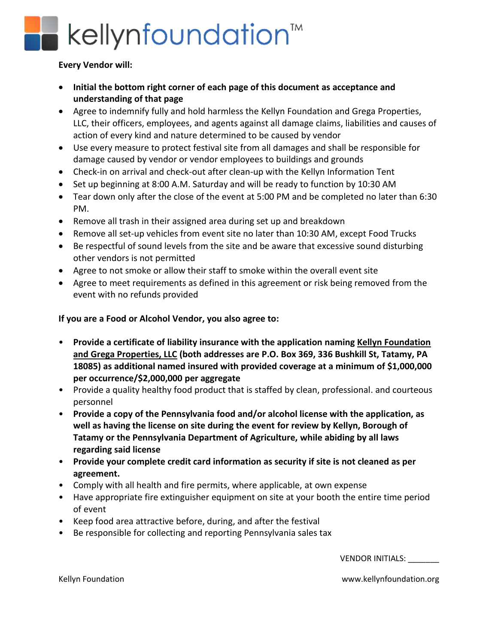## kellynfoundation<sup>™</sup>

#### **Every Vendor will:**

- **Initial the bottom right corner of each page of this document as acceptance and understanding of that page**
- Agree to indemnify fully and hold harmless the Kellyn Foundation and Grega Properties, LLC, their officers, employees, and agents against all damage claims, liabilities and causes of action of every kind and nature determined to be caused by vendor
- Use every measure to protect festival site from all damages and shall be responsible for damage caused by vendor or vendor employees to buildings and grounds
- Check-in on arrival and check-out after clean-up with the Kellyn Information Tent
- Set up beginning at 8:00 A.M. Saturday and will be ready to function by 10:30 AM
- Tear down only after the close of the event at 5:00 PM and be completed no later than 6:30 PM.
- Remove all trash in their assigned area during set up and breakdown
- Remove all set-up vehicles from event site no later than 10:30 AM, except Food Trucks
- Be respectful of sound levels from the site and be aware that excessive sound disturbing other vendors is not permitted
- Agree to not smoke or allow their staff to smoke within the overall event site
- Agree to meet requirements as defined in this agreement or risk being removed from the event with no refunds provided

#### **If you are a Food or Alcohol Vendor, you also agree to:**

- **Provide a certificate of liability insurance with the application naming Kellyn Foundation and Grega Properties, LLC (both addresses are P.O. Box 369, 336 Bushkill St, Tatamy, PA 18085) as additional named insured with provided coverage at a minimum of \$1,000,000 per occurrence/\$2,000,000 per aggregate**
- Provide a quality healthy food product that is staffed by clean, professional. and courteous personnel
- **Provide a copy of the Pennsylvania food and/or alcohol license with the application, as well as having the license on site during the event for review by Kellyn, Borough of Tatamy or the Pennsylvania Department of Agriculture, while abiding by all laws regarding said license**
- **Provide your complete credit card information as security if site is not cleaned as per agreement.**
- Comply with all health and fire permits, where applicable, at own expense
- Have appropriate fire extinguisher equipment on site at your booth the entire time period of event
- Keep food area attractive before, during, and after the festival
- Be responsible for collecting and reporting Pennsylvania sales tax

VENDOR INITIALS: \_\_\_\_\_\_\_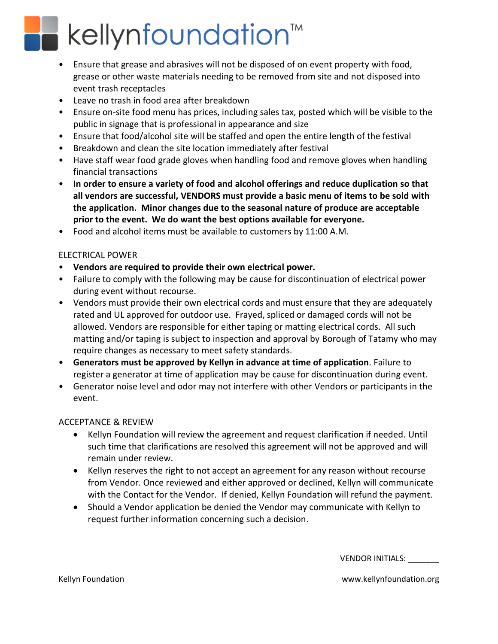# kellynfoundation<sup>™</sup>

- Ensure that grease and abrasives will not be disposed of on event property with food, grease or other waste materials needing to be removed from site and not disposed into event trash receptacles
- Leave no trash in food area after breakdown
- Ensure on-site food menu has prices, including sales tax, posted which will be visible to the public in signage that is professional in appearance and size
- Ensure that food/alcohol site will be staffed and open the entire length of the festival
- Breakdown and clean the site location immediately after festival
- Have staff wear food grade gloves when handling food and remove gloves when handling financial transactions
- **In order to ensure a variety of food and alcohol offerings and reduce duplication so that all vendors are successful, VENDORS must provide a basic menu of items to be sold with the application. Minor changes due to the seasonal nature of produce are acceptable prior to the event. We do want the best options available for everyone.**
- Food and alcohol items must be available to customers by 11:00 A.M.

#### ELECTRICAL POWER

- **Vendors are required to provide their own electrical power.**
- Failure to comply with the following may be cause for discontinuation of electrical power during event without recourse.
- Vendors must provide their own electrical cords and must ensure that they are adequately rated and UL approved for outdoor use. Frayed, spliced or damaged cords will not be allowed. Vendors are responsible for either taping or matting electrical cords. All such matting and/or taping is subject to inspection and approval by Borough of Tatamy who may require changes as necessary to meet safety standards.
- **Generators must be approved by Kellyn in advance at time of application**. Failure to register a generator at time of application may be cause for discontinuation during event.
- Generator noise level and odor may not interfere with other Vendors or participants in the event.

#### ACCEPTANCE & REVIEW

- Kellyn Foundation will review the agreement and request clarification if needed. Until such time that clarifications are resolved this agreement will not be approved and will remain under review.
- Kellyn reserves the right to not accept an agreement for any reason without recourse from Vendor. Once reviewed and either approved or declined, Kellyn will communicate with the Contact for the Vendor. If denied, Kellyn Foundation will refund the payment.
- Should a Vendor application be denied the Vendor may communicate with Kellyn to request further information concerning such a decision.

VENDOR INITIALS: \_\_\_\_\_\_\_